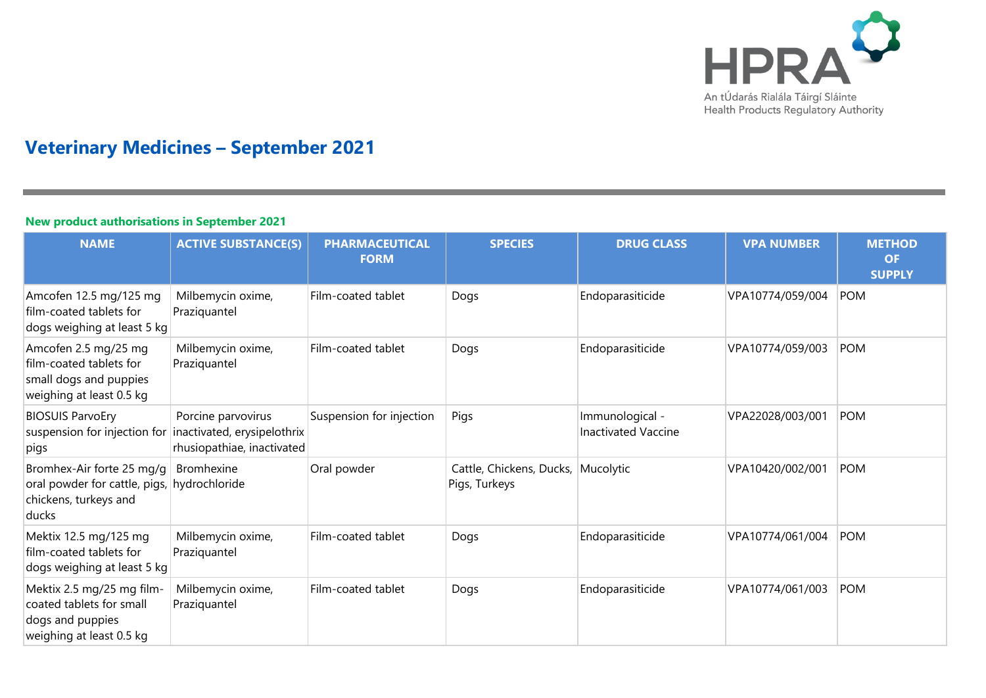

# **Veterinary Medicines – September 2021**

## **New product authorisations in September 2021**

| <b>NAME</b>                                                                                                | <b>ACTIVE SUBSTANCE(S)</b>                       | <b>PHARMACEUTICAL</b><br><b>FORM</b> | <b>SPECIES</b>                                      | <b>DRUG CLASS</b>                             | <b>VPA NUMBER</b> | <b>METHOD</b><br><b>OF</b><br><b>SUPPLY</b> |
|------------------------------------------------------------------------------------------------------------|--------------------------------------------------|--------------------------------------|-----------------------------------------------------|-----------------------------------------------|-------------------|---------------------------------------------|
| Amcofen 12.5 mg/125 mg<br>film-coated tablets for<br>dogs weighing at least 5 kg                           | Milbemycin oxime,<br>Praziquantel                | Film-coated tablet                   | Dogs                                                | Endoparasiticide                              | VPA10774/059/004  | POM                                         |
| Amcofen 2.5 mg/25 mg<br>film-coated tablets for<br>small dogs and puppies<br>weighing at least 0.5 kg      | Milbemycin oxime,<br>Praziquantel                | Film-coated tablet                   | Dogs                                                | Endoparasiticide                              | VPA10774/059/003  | <b>POM</b>                                  |
| <b>BIOSUIS ParvoEry</b><br>suspension for injection for inactivated, erysipelothrix<br>pigs                | Porcine parvovirus<br>rhusiopathiae, inactivated | Suspension for injection             | Pigs                                                | Immunological -<br><b>Inactivated Vaccine</b> | VPA22028/003/001  | <b>POM</b>                                  |
| Bromhex-Air forte 25 mg/g<br>oral powder for cattle, pigs, hydrochloride<br>chickens, turkeys and<br>ducks | <b>Bromhexine</b>                                | Oral powder                          | Cattle, Chickens, Ducks, Mucolytic<br>Pigs, Turkeys |                                               | VPA10420/002/001  | <b>POM</b>                                  |
| Mektix 12.5 mg/125 mg<br>film-coated tablets for<br>dogs weighing at least 5 kg                            | Milbemycin oxime,<br>Praziquantel                | Film-coated tablet                   | Dogs                                                | Endoparasiticide                              | VPA10774/061/004  | <b>POM</b>                                  |
| Mektix 2.5 mg/25 mg film-<br>coated tablets for small<br>dogs and puppies<br>weighing at least 0.5 kg      | Milbemycin oxime,<br>Praziquantel                | Film-coated tablet                   | Dogs                                                | Endoparasiticide                              | VPA10774/061/003  | <b>POM</b>                                  |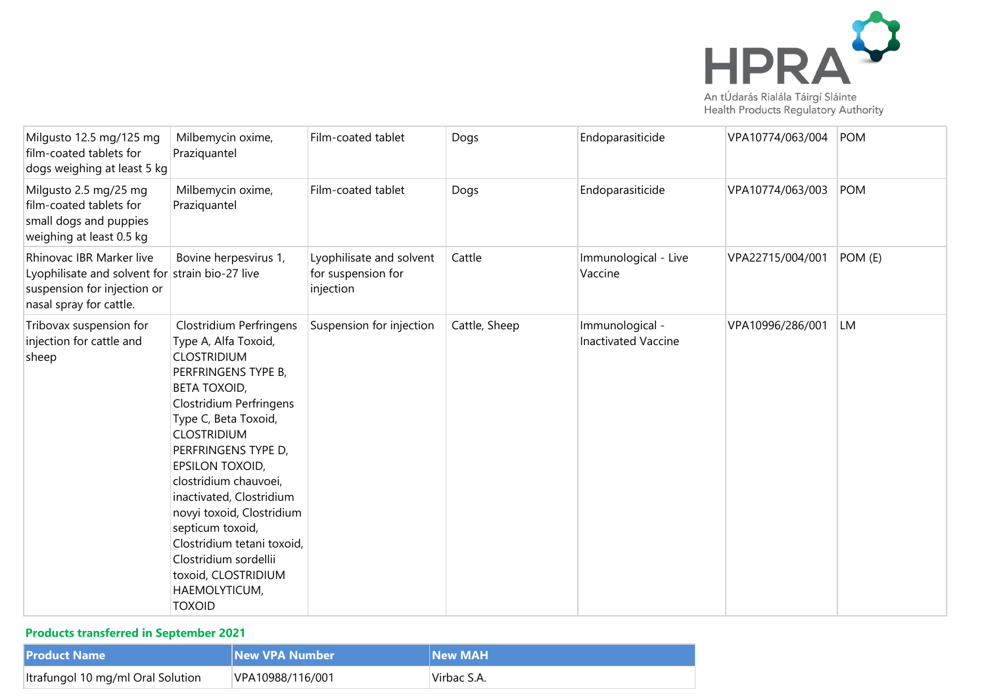

|  | Health Products Regulatory Authority |  |
|--|--------------------------------------|--|

| Milgusto 12.5 mg/125 mg<br>film-coated tablets for<br>dogs weighing at least 5 kg                                                     | Milbemycin oxime,<br>Praziquantel                                                                                                                                                                                                                                                                                                                                                                                                                                   | Film-coated tablet                                          | Dogs          | Endoparasiticide                              | VPA10774/063/004 | POM        |
|---------------------------------------------------------------------------------------------------------------------------------------|---------------------------------------------------------------------------------------------------------------------------------------------------------------------------------------------------------------------------------------------------------------------------------------------------------------------------------------------------------------------------------------------------------------------------------------------------------------------|-------------------------------------------------------------|---------------|-----------------------------------------------|------------------|------------|
| Milgusto 2.5 mg/25 mg<br>film-coated tablets for<br>small dogs and puppies<br>weighing at least 0.5 kg                                | Milbemycin oxime,<br>Praziquantel                                                                                                                                                                                                                                                                                                                                                                                                                                   | Film-coated tablet                                          | Dogs          | Endoparasiticide                              | VPA10774/063/003 | <b>POM</b> |
| Rhinovac IBR Marker live<br>Lyophilisate and solvent for strain bio-27 live<br>suspension for injection or<br>nasal spray for cattle. | Bovine herpesvirus 1,                                                                                                                                                                                                                                                                                                                                                                                                                                               | Lyophilisate and solvent<br>for suspension for<br>injection | Cattle        | Immunological - Live<br>Vaccine               | VPA22715/004/001 | POM (E)    |
| Tribovax suspension for<br>injection for cattle and<br>sheep                                                                          | Clostridium Perfringens<br>Type A, Alfa Toxoid,<br><b>CLOSTRIDIUM</b><br>PERFRINGENS TYPE B,<br><b>BETA TOXOID,</b><br><b>Clostridium Perfringens</b><br>Type C, Beta Toxoid,<br><b>CLOSTRIDIUM</b><br>PERFRINGENS TYPE D,<br>EPSILON TOXOID,<br>clostridium chauvoei,<br>inactivated, Clostridium<br>novyi toxoid, Clostridium<br>septicum toxoid,<br>Clostridium tetani toxoid,<br>Clostridium sordellii<br>toxoid, CLOSTRIDIUM<br>HAEMOLYTICUM,<br><b>TOXOID</b> | Suspension for injection                                    | Cattle, Sheep | Immunological -<br><b>Inactivated Vaccine</b> | VPA10996/286/001 | <b>LM</b>  |

## **Products transferred in September 2021**

| <b>Product Name</b>               | <b>New VPA Number</b> | <b>INew MAH</b> |
|-----------------------------------|-----------------------|-----------------|
| Itrafungol 10 mg/ml Oral Solution | VPA10988/116/001      | 'Virbac S.A.    |